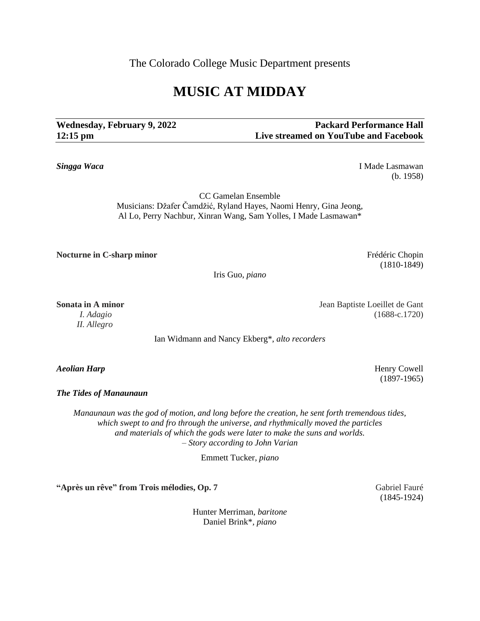The Colorado College Music Department presents

## **MUSIC AT MIDDAY**

**Wednesday, February 9, 2022 Packard Performance Hall 12:15 pm Live streamed on YouTube and Facebook**

**Singga Waca** I Made Lasmawan (b. 1958)

> CC Gamelan Ensemble Musicians: Džafer Čamdžić, Ryland Hayes, Naomi Henry, Gina Jeong, Al Lo, Perry Nachbur, Xinran Wang, Sam Yolles, I Made Lasmawan\*

**Nocturne in C-sharp minor Frédéric Chopin Frédéric Chopin** 

Iris Guo, *piano*

*II. Allegro*

Ian Widmann and Nancy Ekberg\*, *alto recorders*

*The Tides of Manaunaun*

*Manaunaun was the god of motion, and long before the creation, he sent forth tremendous tides, which swept to and fro through the universe, and rhythmically moved the particles and materials of which the gods were later to make the suns and worlds. – Story according to John Varian*

Emmett Tucker, *piano*

**"Après un rêve" from Trois mélodies, Op. 7** Gabriel Fauré

Hunter Merriman*, baritone* Daniel Brink\**, piano*

**Sonata in A minor** Jean Baptiste Loeillet de Gant *I. Adagio* (1688-c.1720)

*Aeolian Harp* Henry Cowell (1897-1965)

(1845-1924)

(1810-1849)